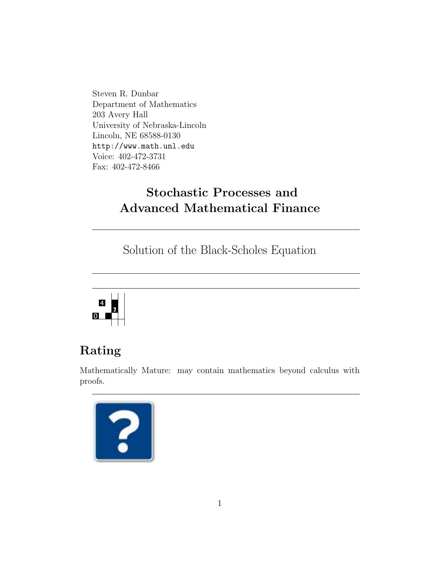Steven R. Dunbar Department of Mathematics 203 Avery Hall University of Nebraska-Lincoln Lincoln, NE 68588-0130 http://www.math.unl.edu Voice: 402-472-3731 Fax: 402-472-8466

# Stochastic Processes and Advanced Mathematical Finance

Solution of the Black-Scholes Equation



# Rating

Mathematically Mature: may contain mathematics beyond calculus with proofs.

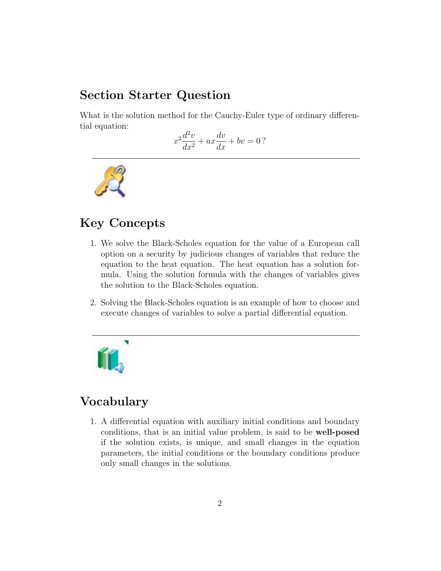### Section Starter Question

What is the solution method for the Cauchy-Euler type of ordinary differential equation:

$$
x^2\frac{d^2v}{dx^2} + ax\frac{dv}{dx} + bv = 0?
$$



### Key Concepts

- 1. We solve the Black-Scholes equation for the value of a European call option on a security by judicious changes of variables that reduce the equation to the heat equation. The heat equation has a solution formula. Using the solution formula with the changes of variables gives the solution to the Black-Scholes equation.
- 2. Solving the Black-Scholes equation is an example of how to choose and execute changes of variables to solve a partial differential equation.



## Vocabulary

1. A differential equation with auxiliary initial conditions and boundary conditions, that is an initial value problem, is said to be well-posed if the solution exists, is unique, and small changes in the equation parameters, the initial conditions or the boundary conditions produce only small changes in the solutions.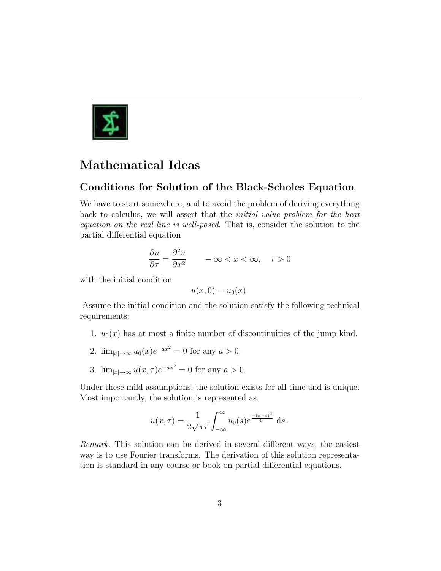

## Mathematical Ideas

### Conditions for Solution of the Black-Scholes Equation

We have to start somewhere, and to avoid the problem of deriving everything back to calculus, we will assert that the initial value problem for the heat equation on the real line is well-posed. That is, consider the solution to the partial differential equation

$$
\frac{\partial u}{\partial \tau} = \frac{\partial^2 u}{\partial x^2} \qquad -\infty < x < \infty, \quad \tau > 0
$$

with the initial condition

$$
u(x,0) = u_0(x).
$$

Assume the initial condition and the solution satisfy the following technical requirements:

- 1.  $u_0(x)$  has at most a finite number of discontinuities of the jump kind.
- 2.  $\lim_{|x| \to \infty} u_0(x) e^{-ax^2} = 0$  for any  $a > 0$ .
- 3.  $\lim_{|x| \to \infty} u(x, \tau) e^{-ax^2} = 0$  for any  $a > 0$ .

Under these mild assumptions, the solution exists for all time and is unique. Most importantly, the solution is represented as

$$
u(x,\tau) = \frac{1}{2\sqrt{\pi\tau}} \int_{-\infty}^{\infty} u_0(s) e^{\frac{-(x-s)^2}{4\tau}} ds.
$$

Remark. This solution can be derived in several different ways, the easiest way is to use Fourier transforms. The derivation of this solution representation is standard in any course or book on partial differential equations.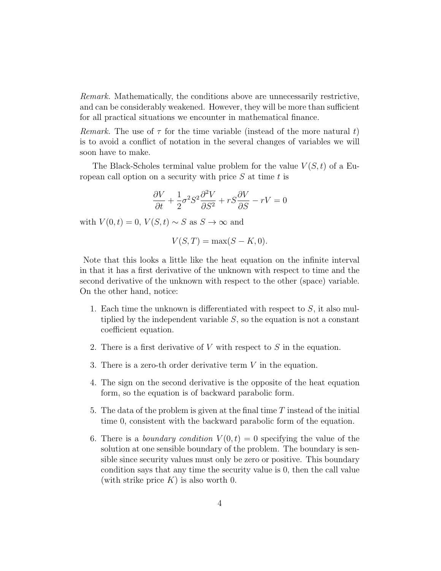Remark. Mathematically, the conditions above are unnecessarily restrictive, and can be considerably weakened. However, they will be more than sufficient for all practical situations we encounter in mathematical finance.

Remark. The use of  $\tau$  for the time variable (instead of the more natural t) is to avoid a conflict of notation in the several changes of variables we will soon have to make.

The Black-Scholes terminal value problem for the value  $V(S, t)$  of a European call option on a security with price  $S$  at time  $t$  is

$$
\frac{\partial V}{\partial t} + \frac{1}{2}\sigma^2 S^2 \frac{\partial^2 V}{\partial S^2} + rS \frac{\partial V}{\partial S} - rV = 0
$$

with  $V(0, t) = 0$ ,  $V(S, t) \sim S$  as  $S \to \infty$  and

$$
V(S,T) = \max(S - K, 0).
$$

Note that this looks a little like the heat equation on the infinite interval in that it has a first derivative of the unknown with respect to time and the second derivative of the unknown with respect to the other (space) variable. On the other hand, notice:

- 1. Each time the unknown is differentiated with respect to  $S$ , it also multiplied by the independent variable  $S$ , so the equation is not a constant coefficient equation.
- 2. There is a first derivative of  $V$  with respect to  $S$  in the equation.
- 3. There is a zero-th order derivative term V in the equation.
- 4. The sign on the second derivative is the opposite of the heat equation form, so the equation is of backward parabolic form.
- 5. The data of the problem is given at the final time  $T$  instead of the initial time 0, consistent with the backward parabolic form of the equation.
- 6. There is a *boundary condition*  $V(0, t) = 0$  specifying the value of the solution at one sensible boundary of the problem. The boundary is sensible since security values must only be zero or positive. This boundary condition says that any time the security value is 0, then the call value (with strike price  $K$ ) is also worth 0.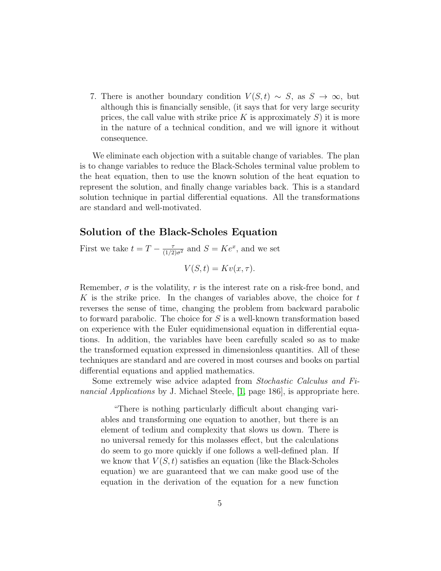7. There is another boundary condition  $V(S,t) \sim S$ , as  $S \to \infty$ , but although this is financially sensible, (it says that for very large security prices, the call value with strike price K is approximately  $S$ ) it is more in the nature of a technical condition, and we will ignore it without consequence.

We eliminate each objection with a suitable change of variables. The plan is to change variables to reduce the Black-Scholes terminal value problem to the heat equation, then to use the known solution of the heat equation to represent the solution, and finally change variables back. This is a standard solution technique in partial differential equations. All the transformations are standard and well-motivated.

#### Solution of the Black-Scholes Equation

First we take  $t = T - \frac{\tau}{(1/2)\sigma^2}$  and  $S = Ke^x$ , and we set

$$
V(S,t) = Kv(x, \tau).
$$

Remember,  $\sigma$  is the volatility, r is the interest rate on a risk-free bond, and K is the strike price. In the changes of variables above, the choice for  $t$ reverses the sense of time, changing the problem from backward parabolic to forward parabolic. The choice for S is a well-known transformation based on experience with the Euler equidimensional equation in differential equations. In addition, the variables have been carefully scaled so as to make the transformed equation expressed in dimensionless quantities. All of these techniques are standard and are covered in most courses and books on partial differential equations and applied mathematics.

Some extremely wise advice adapted from Stochastic Calculus and Fi-nancial Applications by J. Michael Steele, [\[1,](#page-17-0) page 186], is appropriate here.

"There is nothing particularly difficult about changing variables and transforming one equation to another, but there is an element of tedium and complexity that slows us down. There is no universal remedy for this molasses effect, but the calculations do seem to go more quickly if one follows a well-defined plan. If we know that  $V(S, t)$  satisfies an equation (like the Black-Scholes equation) we are guaranteed that we can make good use of the equation in the derivation of the equation for a new function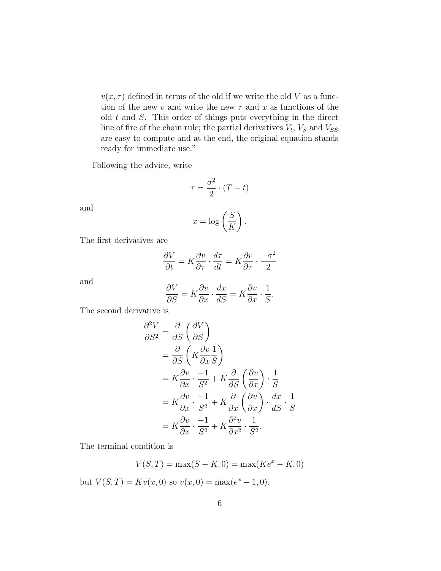$v(x, \tau)$  defined in terms of the old if we write the old V as a function of the new v and write the new  $\tau$  and x as functions of the old  $t$  and  $S$ . This order of things puts everything in the direct line of fire of the chain rule; the partial derivatives  $V_t$ ,  $V_s$  and  $V_{SS}$ are easy to compute and at the end, the original equation stands ready for immediate use."

Following the advice, write

$$
\tau = \frac{\sigma^2}{2} \cdot (T - t)
$$

and

$$
x = \log\left(\frac{S}{K}\right).
$$

The first derivatives are

$$
\frac{\partial V}{\partial t} = K \frac{\partial v}{\partial \tau} \cdot \frac{d\tau}{dt} = K \frac{\partial v}{\partial \tau} \cdot \frac{-\sigma^2}{2}
$$

and

$$
\frac{\partial V}{\partial S} = K \frac{\partial v}{\partial x} \cdot \frac{dx}{dS} = K \frac{\partial v}{\partial x} \cdot \frac{1}{S}.
$$

The second derivative is

$$
\frac{\partial^2 V}{\partial S^2} = \frac{\partial}{\partial S} \left( \frac{\partial V}{\partial S} \right)
$$
  
=  $\frac{\partial}{\partial S} \left( K \frac{\partial v}{\partial x} \frac{1}{S} \right)$   
=  $K \frac{\partial v}{\partial x} \cdot \frac{-1}{S^2} + K \frac{\partial}{\partial S} \left( \frac{\partial v}{\partial x} \right) \cdot \frac{1}{S}$   
=  $K \frac{\partial v}{\partial x} \cdot \frac{-1}{S^2} + K \frac{\partial}{\partial x} \left( \frac{\partial v}{\partial x} \right) \cdot \frac{dx}{dS} \cdot \frac{1}{S}$   
=  $K \frac{\partial v}{\partial x} \cdot \frac{-1}{S^2} + K \frac{\partial^2 v}{\partial x^2} \cdot \frac{1}{S^2}.$ 

The terminal condition is

$$
V(S, T) = \max(S - K, 0) = \max(Ke^x - K, 0)
$$

but  $V(S,T) = Kv(x,0)$  so  $v(x,0) = max(e^x - 1,0)$ .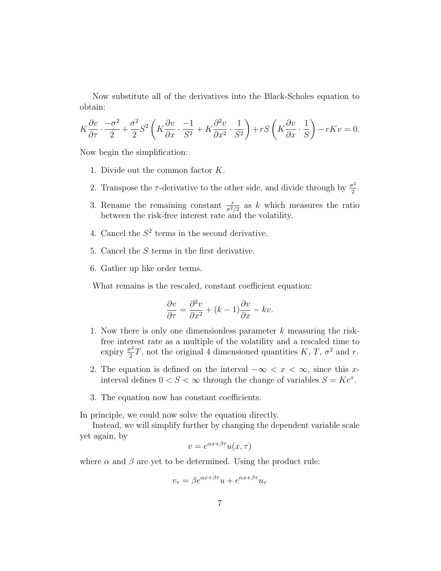Now substitute all of the derivatives into the Black-Scholes equation to obtain:

$$
K\frac{\partial v}{\partial \tau} \cdot \frac{-\sigma^2}{2} + \frac{\sigma^2}{2} S^2 \left( K \frac{\partial v}{\partial x} \cdot \frac{-1}{S^2} + K \frac{\partial^2 v}{\partial x^2} \cdot \frac{1}{S^2} \right) + rS \left( K \frac{\partial v}{\partial x} \cdot \frac{1}{S} \right) - rKv = 0.
$$

Now begin the simplification:

- 1. Divide out the common factor K.
- 2. Transpose the  $\tau$ -derivative to the other side, and divide through by  $\frac{\sigma^2}{2}$  $rac{\tau^2}{2}$ .
- 3. Rename the remaining constant  $\frac{r}{\sigma^2/2}$  as k which measures the ratio between the risk-free interest rate and the volatility.
- 4. Cancel the  $S^2$  terms in the second derivative.
- 5. Cancel the S terms in the first derivative.
- 6. Gather up like order terms.

What remains is the rescaled, constant coefficient equation:

$$
\frac{\partial v}{\partial \tau} = \frac{\partial^2 v}{\partial x^2} + (k - 1)\frac{\partial v}{\partial x} - kv.
$$

- 1. Now there is only one dimensionless parameter k measuring the riskfree interest rate as a multiple of the volatility and a rescaled time to expiry  $\frac{\sigma^2}{2}$  $\frac{T^2}{2}T$ , not the original 4 dimensioned quantities K, T,  $\sigma^2$  and r.
- 2. The equation is defined on the interval  $-\infty < x < \infty$ , since this xinterval defines  $0 < S < \infty$  through the change of variables  $S = Ke^x$ .
- 3. The equation now has constant coefficients.

In principle, we could now solve the equation directly.

Instead, we will simplify further by changing the dependent variable scale yet again, by

$$
v = e^{\alpha x + \beta \tau} u(x, \tau)
$$

where  $\alpha$  and  $\beta$  are yet to be determined. Using the product rule:

$$
v_{\tau} = \beta e^{\alpha x + \beta \tau} u + e^{\alpha x + \beta \tau} u_{\tau}
$$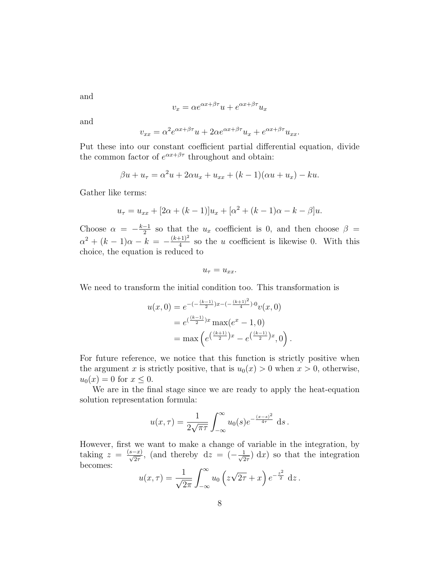and

$$
v_x = \alpha e^{\alpha x + \beta \tau} u + e^{\alpha x + \beta \tau} u_x
$$

and

$$
v_{xx} = \alpha^2 e^{\alpha x + \beta \tau} u + 2\alpha e^{\alpha x + \beta \tau} u_x + e^{\alpha x + \beta \tau} u_{xx}.
$$

Put these into our constant coefficient partial differential equation, divide the common factor of  $e^{\alpha x+\beta\tau}$  throughout and obtain:

$$
\beta u + u_{\tau} = \alpha^2 u + 2\alpha u_x + u_{xx} + (k-1)(\alpha u + u_x) - ku.
$$

Gather like terms:

$$
u_{\tau} = u_{xx} + [2\alpha + (k-1)]u_x + [\alpha^2 + (k-1)\alpha - k - \beta]u.
$$

Choose  $\alpha = -\frac{k-1}{2}$  $\frac{-1}{2}$  so that the  $u_x$  coefficient is 0, and then choose  $\beta =$  $\alpha^2 + (k-1)\alpha - k = -\frac{(k+1)^2}{4}$  $\frac{(1+i)^2}{4}$  so the *u* coefficient is likewise 0. With this choice, the equation is reduced to

$$
u_{\tau}=u_{xx}.
$$

We need to transform the initial condition too. This transformation is

$$
u(x, 0) = e^{-\left(-\frac{(k-1)}{2}\right)x - \left(-\frac{(k+1)^2}{4}\right)\cdot 0}v(x, 0)
$$
  
=  $e^{\left(\frac{(k-1)}{2}\right)x} \max(e^x - 1, 0)$   
=  $\max\left(e^{\left(\frac{(k+1)}{2}\right)x} - e^{\left(\frac{(k-1)}{2}\right)x}, 0\right).$ 

For future reference, we notice that this function is strictly positive when the argument x is strictly positive, that is  $u_0(x) > 0$  when  $x > 0$ , otherwise,  $u_0(x) = 0$  for  $x \le 0$ .

We are in the final stage since we are ready to apply the heat-equation solution representation formula:

$$
u(x,\tau) = \frac{1}{2\sqrt{\pi\tau}} \int_{-\infty}^{\infty} u_0(s) e^{-\frac{(x-s)^2}{4\tau}} ds.
$$

However, first we want to make a change of variable in the integration, by taking  $z = \frac{(s-x)}{\sqrt{2\tau}}$ , (and thereby  $dz = \overline{(-\frac{1}{\sqrt{2\tau}})}$  $\frac{1}{2\tau}$  dx) so that the integration becomes:

$$
u(x,\tau) = \frac{1}{\sqrt{2\pi}} \int_{-\infty}^{\infty} u_0 \left( z\sqrt{2\tau} + x \right) e^{-\frac{z^2}{2}} dz.
$$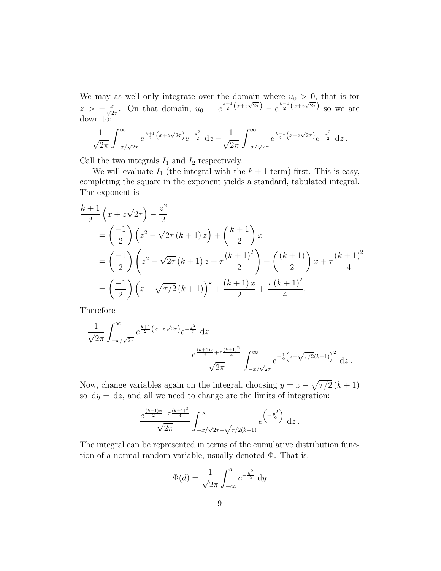We may as well only integrate over the domain where  $u_0 > 0$ , that is for we may as went only meet over the domain where  $a_0 > 0$ , that is for<br>  $z > -\frac{x}{\sqrt{2\tau}}$ . On that domain,  $u_0 = e^{\frac{k+1}{2}(x+z\sqrt{2\tau})} - e^{\frac{k-1}{2}(x+z\sqrt{2\tau})}$  so we are down to:

$$
\frac{1}{\sqrt{2\pi}}\int_{-x/\sqrt{2\tau}}^{\infty}e^{\frac{k+1}{2}\left(x+z\sqrt{2\tau}\right)}e^{-\frac{z^2}{2}}\;\mathrm{d}z-\frac{1}{\sqrt{2\pi}}\int_{-x/\sqrt{2\tau}}^{\infty}e^{\frac{k-1}{2}\left(x+z\sqrt{2\tau}\right)}e^{-\frac{z^2}{2}}\;\mathrm{d}z\,.
$$

Call the two integrals  $I_1$  and  $I_2$  respectively.

We will evaluate  $I_1$  (the integral with the  $k+1$  term) first. This is easy, completing the square in the exponent yields a standard, tabulated integral. The exponent is

$$
\frac{k+1}{2} \left( x + z\sqrt{2\tau} \right) - \frac{z^2}{2}
$$
\n
$$
= \left( -\frac{1}{2} \right) \left( z^2 - \sqrt{2\tau} \left( k+1 \right) z \right) + \left( \frac{k+1}{2} \right) x
$$
\n
$$
= \left( -\frac{1}{2} \right) \left( z^2 - \sqrt{2\tau} \left( k+1 \right) z + \tau \frac{\left( k+1 \right)^2}{2} \right) + \left( \frac{\left( k+1 \right)}{2} \right) x + \tau \frac{\left( k+1 \right)^2}{4}
$$
\n
$$
= \left( -\frac{1}{2} \right) \left( z - \sqrt{\tau/2} \left( k+1 \right) \right)^2 + \frac{\left( k+1 \right) x}{2} + \frac{\tau \left( k+1 \right)^2}{4}.
$$

Therefore

$$
\frac{1}{\sqrt{2\pi}} \int_{-x/\sqrt{2\tau}}^{\infty} e^{\frac{k+1}{2}(x+z\sqrt{2\tau})} e^{-\frac{z^2}{2}} dz
$$
\n
$$
= \frac{e^{\frac{(k+1)x}{2} + \tau \frac{(k+1)^2}{4}}}{\sqrt{2\pi}} \int_{-x/\sqrt{2\tau}}^{\infty} e^{-\frac{1}{2}(z-\sqrt{\tau/2}(k+1))^{2}} dz.
$$

Now, change variables again on the integral, choosing  $y = z - \sqrt{\tau/2} (k+1)$ so  $dy = dz$ , and all we need to change are the limits of integration:

$$
\frac{e^{\frac{(k+1)x}{2} + \tau \frac{(k+1)^2}{4}}}{\sqrt{2\pi}} \int_{-x/\sqrt{2\tau} - \sqrt{\tau/2}(k+1)}^{\infty} e^{\frac{\left(-\frac{y^2}{2}\right)}{2}} dz.
$$

The integral can be represented in terms of the cumulative distribution function of a normal random variable, usually denoted Φ. That is,

$$
\Phi(d) = \frac{1}{\sqrt{2\pi}} \int_{-\infty}^{d} e^{-\frac{y^2}{2}} dy
$$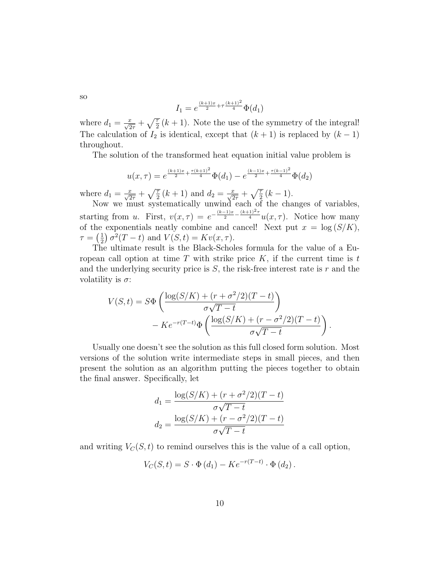so

$$
I_1 = e^{\frac{(k+1)x}{2} + \tau \frac{(k+1)^2}{4}} \Phi(d_1)
$$

where  $d_1 = \frac{x}{\sqrt{2\tau}} + \sqrt{\frac{\tau}{2}}(k+1)$ . Note the use of the symmetry of the integral! The calculation of  $I_2$  is identical, except that  $(k + 1)$  is replaced by  $(k - 1)$ throughout.

The solution of the transformed heat equation initial value problem is

$$
u(x,\tau) = e^{\frac{(k+1)x}{2} + \frac{\tau(k+1)^2}{4}} \Phi(d_1) - e^{\frac{(k-1)x}{2} + \frac{\tau(k-1)^2}{4}} \Phi(d_2)
$$

where  $d_1 = \frac{x}{\sqrt{2\tau}} + \sqrt{\frac{\tau}{2}}(k+1)$  and  $d_2 = \frac{x}{\sqrt{2\tau}} + \sqrt{\frac{\tau}{2}}(k-1)$ .

Now we must systematically unwind each of the changes of variables, starting from u. First,  $v(x,\tau) = e^{-\frac{(k-1)x}{2} - \frac{(k+1)^2\tau}{4}} u(x,\tau)$ . Notice how many of the exponentials neatly combine and cancel! Next put  $x = \log(S/K)$ ,  $\tau = \left(\frac{1}{2}\right)$  $\frac{1}{2}$ )  $\sigma^2(T-t)$  and  $V(S,t) = Kv(x, \tau)$ .

The ultimate result is the Black-Scholes formula for the value of a European call option at time  $T$  with strike price  $K$ , if the current time is  $t$ and the underlying security price is  $S$ , the risk-free interest rate is  $r$  and the volatility is  $\sigma$ :

$$
V(S,t) = S\Phi\left(\frac{\log(S/K) + (r + \sigma^2/2)(T-t)}{\sigma\sqrt{T-t}}\right)
$$

$$
-Ke^{-r(T-t)}\Phi\left(\frac{\log(S/K) + (r - \sigma^2/2)(T-t)}{\sigma\sqrt{T-t}}\right).
$$

Usually one doesn't see the solution as this full closed form solution. Most versions of the solution write intermediate steps in small pieces, and then present the solution as an algorithm putting the pieces together to obtain the final answer. Specifically, let

$$
d_1 = \frac{\log(S/K) + (r + \sigma^2/2)(T - t)}{\sigma\sqrt{T - t}}
$$

$$
d_2 = \frac{\log(S/K) + (r - \sigma^2/2)(T - t)}{\sigma\sqrt{T - t}}
$$

and writing  $V_C(S, t)$  to remind ourselves this is the value of a call option,

$$
V_C(S,t) = S \cdot \Phi(d_1) - Ke^{-r(T-t)} \cdot \Phi(d_2).
$$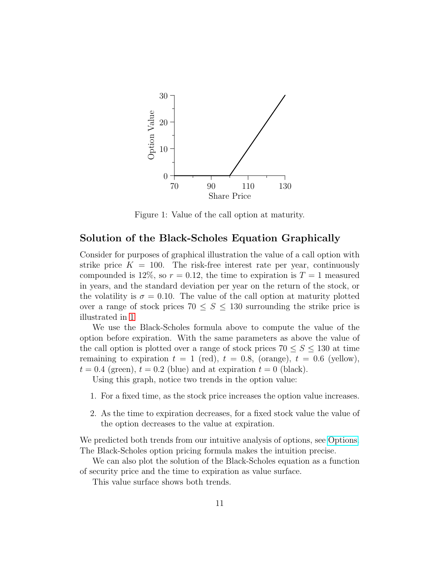

<span id="page-10-0"></span>Figure 1: Value of the call option at maturity.

#### Solution of the Black-Scholes Equation Graphically

Consider for purposes of graphical illustration the value of a call option with strike price  $K = 100$ . The risk-free interest rate per year, continuously compounded is 12\%, so  $r = 0.12$ , the time to expiration is  $T = 1$  measured in years, and the standard deviation per year on the return of the stock, or the volatility is  $\sigma = 0.10$ . The value of the call option at maturity plotted over a range of stock prices  $70 \leq S \leq 130$  surrounding the strike price is illustrated in [1](#page-10-0)

We use the Black-Scholes formula above to compute the value of the option before expiration. With the same parameters as above the value of the call option is plotted over a range of stock prices  $70 \le S \le 130$  at time remaining to expiration  $t = 1$  (red),  $t = 0.8$ , (orange),  $t = 0.6$  (yellow),  $t = 0.4$  (green),  $t = 0.2$  (blue) and at expiration  $t = 0$  (black).

Using this graph, notice two trends in the option value:

- 1. For a fixed time, as the stock price increases the option value increases.
- 2. As the time to expiration decreases, for a fixed stock value the value of the option decreases to the value at expiration.

We predicted both trends from our intuitive analysis of options, see [Options.](http://www.math.unl.edu/~sdunbar1/MathematicalFinance/Lessons/Background/Options/options.html) The Black-Scholes option pricing formula makes the intuition precise.

We can also plot the solution of the Black-Scholes equation as a function of security price and the time to expiration as value surface.

This value surface shows both trends.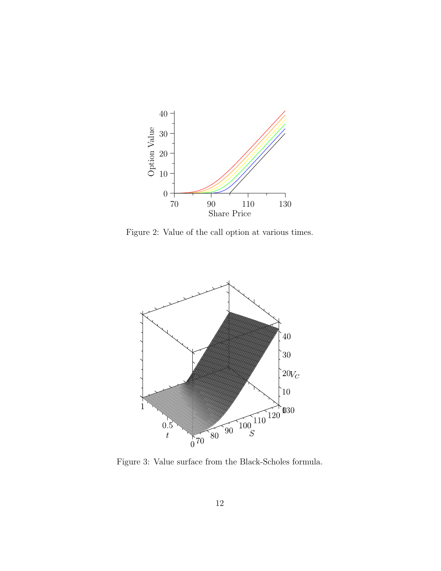

Figure 2: Value of the call option at various times.

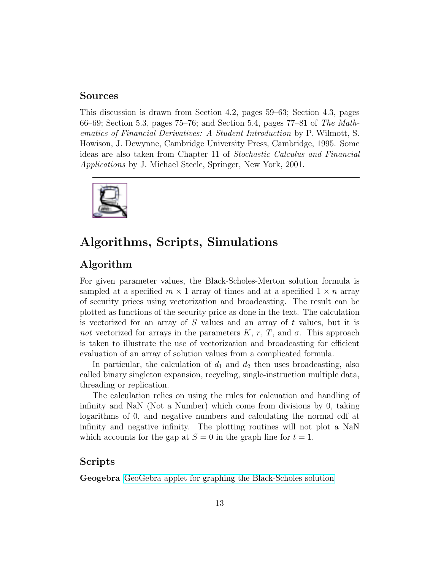#### Sources

This discussion is drawn from Section 4.2, pages 59–63; Section 4.3, pages 66–69; Section 5.3, pages  $75-76$ ; and Section 5.4, pages  $77-81$  of The Mathematics of Financial Derivatives: A Student Introduction by P. Wilmott, S. Howison, J. Dewynne, Cambridge University Press, Cambridge, 1995. Some ideas are also taken from Chapter 11 of Stochastic Calculus and Financial Applications by J. Michael Steele, Springer, New York, 2001.



### Algorithms, Scripts, Simulations

#### Algorithm

For given parameter values, the Black-Scholes-Merton solution formula is sampled at a specified  $m \times 1$  array of times and at a specified  $1 \times n$  array of security prices using vectorization and broadcasting. The result can be plotted as functions of the security price as done in the text. The calculation is vectorized for an array of  $S$  values and an array of  $t$  values, but it is not vectorized for arrays in the parameters K, r, T, and  $\sigma$ . This approach is taken to illustrate the use of vectorization and broadcasting for efficient evaluation of an array of solution values from a complicated formula.

In particular, the calculation of  $d_1$  and  $d_2$  then uses broadcasting, also called binary singleton expansion, recycling, single-instruction multiple data, threading or replication.

The calculation relies on using the rules for calcuation and handling of infinity and NaN (Not a Number) which come from divisions by 0, taking logarithms of 0, and negative numbers and calculating the normal cdf at infinity and negative infinity. The plotting routines will not plot a NaN which accounts for the gap at  $S = 0$  in the graph line for  $t = 1$ .

#### Scripts

Geogebra [GeoGebra applet for graphing the Black-Scholes solution](http://tube.geogebra.org/student/324491)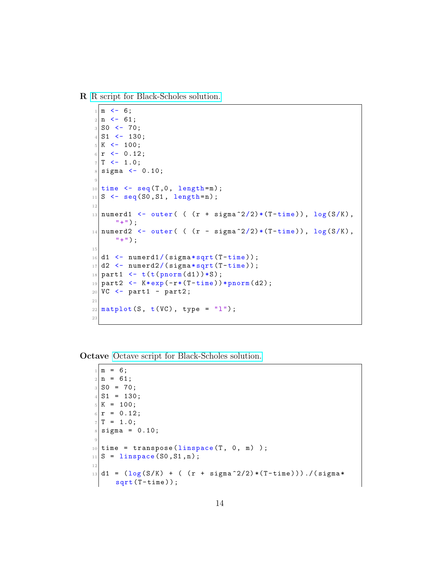R [R script for Black-Scholes solution.](http://www.math.unl.edu/~sdunbar1/MathematicalFinance/Lessons/BlackScholes/Solution/solution.R)

```
1 \, \text{m} <- 6;
2 \mid n \le -61;3 SO <- 70;
_4 S1 <- 130;
5 K <- 100;
6|r \le -0.12;7 | T < -1.0;|s| sigma \leq 0.10;
9
_{10} time \leq seq (T, 0, \text{ length=m});
11 \mid S \leq - \text{seq}(S0, S1, \text{ length=n});12
13 numerd1 <- outer( ( (r + sigma^2/2)*(T - time)), log(S/K),
      "+");
_{14} numerd2 <- outer( ( (r - sigma^2/2)*(T-time)), \log(S/K),
      "+") ;
15
16 \mid d1 \leq numerd1/(sigma*sqrt(T-time));
17|d2 \leftarrow numerd2/(sigma*sqrt(T-time));
18 part1 <- t(t(\text{pnorm}(d1))*S);
19 part2 \leftarrow K*exp(-r*(T-time))*pnorm(d2);
_{20} VC <- part1 - part2;
21
_{22} matplot (S, t(VC), type = "1");
23
```
Octave [Octave script for Black-Scholes solution.](http://www.math.unl.edu/~sdunbar1/MathematicalFinance/Lessons/BlackScholes/Solution/solution.m)

```
1 \, \text{m} = 6;
2 \mid n = 61;3 SO = 70;
4 S1 = 130;
5 K = 100;
6|r = 0.12;7 | T = 1.0;| sigma = 0.10;
9
10 time = transpose (linspace (T, 0, m));
_{11} S = linspace (S0, S1, n);
12
_{13} d1 = (log(S/K) + ( (r + sigma<sup>-2</sup>/2)*(T-time)))./(sigma*
      sqrt(T - time);
```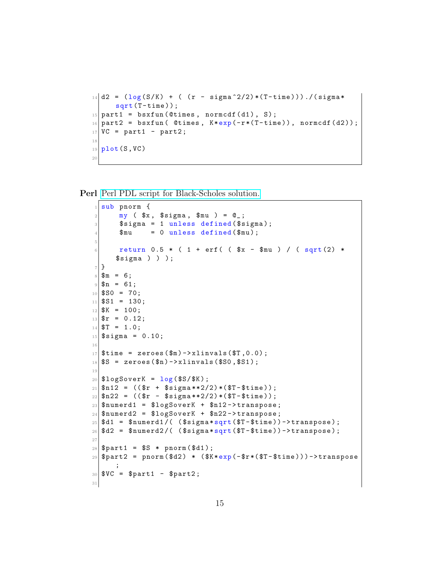```
_{14} d2 = (log(S/K) + ( (r - sigma<sup>2</sup>2/2)*(T-time)))./(sigma*
      sqrt(T - time);
15 part1 = bsxfun (Ctimes, normcdf (d1), S);
16 part2 = bsxfun ( @times, K*exp(-r*(T-time)), normcdf(d2));
17 VC = part1 - part2;
18
_{19} plot (S, VC)
20
```
Perl [Perl PDL script for Black-Scholes solution.](http://www.math.unl.edu/~sdunbar1/MathematicalFinance/Lessons/BlackScholes/Solution/solution.pl)

```
1 sub pnorm {
 |2| my ($x, $sigma, $mu) = @_{-};|3| $sigma = 1 unless defined ($sigma);
        \text{\$mu} = 0 unless defined (\text{\$mu});
 5
 6 return 0.5 * ( 1 + erf ( ( x - \text{mu} ) / ( sqrt (2) *
       $signa ) ) );
 7}
8 \mid \text{Im} = 6;
9 \mid $n = 61;_{10} $SO = 70;
_{11} $S1 = 130;
12 $K = 100;
_{13} \text{sr} = 0.12;
_{14} $T = 1.0;
15 \, $sigma = 0.10;
16
17 \, \text{time} = \text{zeros} (\text{fm}) - \text{xlinvals} (\text{ST}, 0.0) ;_{18} \S = zeroes (\text{$n$}) ->xlinvals (\text{$SO, $SI$});
19
_{20} $logSoverK = log ($S/$K);
_{21} \text{\$n12 = (($r + $signa**2/2)*($T$-$time)});_{22} $n22 = (($r - $sigma**2/2)*($T-$time));
|23| $numerd1 = $logSoverK + $n12->transpose;
_{24} $numerd2 = $logSoverK + $n22->transpose;
25 \mid \text{ad1} = \text{unverd1}/( (\text{isigma} \cdot \text{sqrt}(\text{ST}-\text{time}))) ->transpose);
26 \mid $d2 = $numerd2/( ($signa*sqrt(ST - 5time)) - > transpose);27
28 \, \text{\$part1 = \$S * $norm(\$d1);\}29 \mid \text{\$part2 = pronorm(\$d2) * (\$K*exp(-\$r*(\$T - \$time))) -\text{transpose}};
30 \, \frac{\text{SVC}}{\text{SNOT}} = \$\text{part1} - \$\text{part2};31
```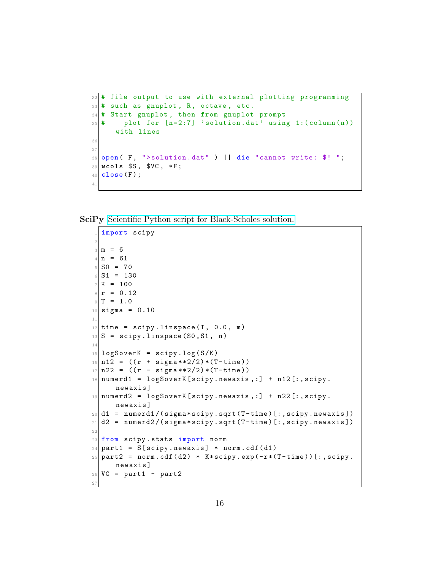```
32 # file output to use with external plotting programming
33 # such as gnuplot, R, octave, etc.
34 \# Start gnuplot, then from gnuplot prompt
35 \frac{4}{7} plot for [n=2:7] 'solution.dat' using 1: (column (n))
     with lines
36
37
38 open (F, ">solution.dat") || die "cannot write: \frac{4}{3}!";
39 wcols $S, $VC, *F;
40 close (F);
41
```
SciPy [Scientific Python script for Black-Scholes solution.](http://www.math.unl.edu/~sdunbar1/MathematicalFinance/Lessons/BlackScholes/Solution/solution.py)

```
1 import scipy
2
3 \mid m = 64 \mid n = 615 SO = 70
6 S1 = 130
7 K = 1008 \rvert r = 0.129|T = 1.0_{10} sigma = 0.10
11
12 \times 12 time = scipy.linspace (T, 0.0, m)
|13|S = scipy.linspace (S0, S1, n)14
15 logSoverK = scipy.log(S/K)
_{16} n12 = ((r + sigma**2/2)*(T-time))
17 \mid n22 = ((r - sigma**2/2)*(T-time))18 \vert numerd1 = logSoverK [scipy.newaxis,:] + n12 [:, scipy.
      newaxis ]
19 \text{ numberd2 = } \text{logSoverK} [scipy . newaxis , : ] + n22 [: , scipy .
      newaxis ]
_{20} d1 = numerd1/(sigma*scipy.sqrt(T-time)[:,scipy.newaxis])
_{21} d2 = numerd2/(sigma*scipy.sqrt(T-time)[:,scipy.newaxis])
22
23 from scipy stats import norm
24 part1 = S[scipy.newaxis] * norm.cdf(d1)
25 \mid \texttt{part2} = \texttt{norm.cdf(d2)} * K * \texttt{scipy.exp(-r*(T-time))}:, scipy.
      newaxis ]
26 VC = part1 - part2
27
```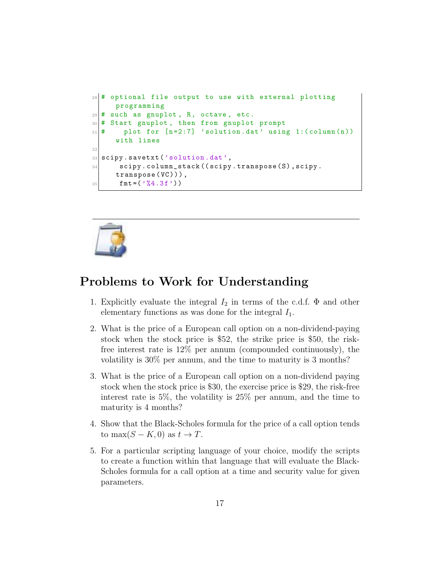```
28 # optional file output to use with external plotting
     programming
29 \mid # such as gnuplot, R, octave, etc.
30 # Start gnuplot , then from gnuplot prompt
31 \text{#} plot for [n=2:7] 'solution.dat' using 1:(column(n))
     with lines
32
33 scipy. savetxt ('solution.dat',
34 scipy.column_stack((scipy.transpose(S),scipy.
     transpose (VC))),
35 fmt=(\frac{9}{4}.3f))
```


### Problems to Work for Understanding

- 1. Explicitly evaluate the integral  $I_2$  in terms of the c.d.f.  $\Phi$  and other elementary functions as was done for the integral  $I_1$ .
- 2. What is the price of a European call option on a non-dividend-paying stock when the stock price is \$52, the strike price is \$50, the riskfree interest rate is 12% per annum (compounded continuously), the volatility is 30% per annum, and the time to maturity is 3 months?
- 3. What is the price of a European call option on a non-dividend paying stock when the stock price is \$30, the exercise price is \$29, the risk-free interest rate is 5%, the volatility is 25% per annum, and the time to maturity is 4 months?
- 4. Show that the Black-Scholes formula for the price of a call option tends to max $(S - K, 0)$  as  $t \to T$ .
- 5. For a particular scripting language of your choice, modify the scripts to create a function within that language that will evaluate the Black-Scholes formula for a call option at a time and security value for given parameters.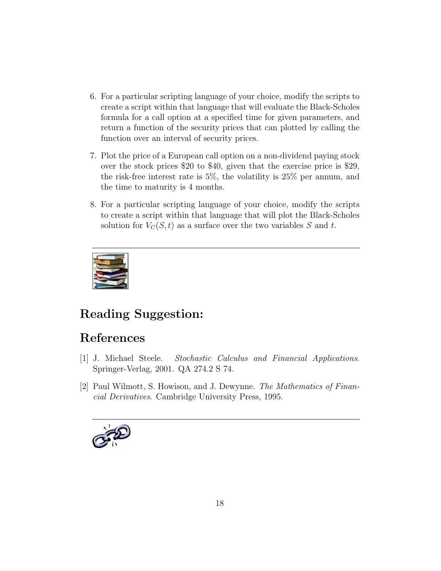- 6. For a particular scripting language of your choice, modify the scripts to create a script within that language that will evaluate the Black-Scholes formula for a call option at a specified time for given parameters, and return a function of the security prices that can plotted by calling the function over an interval of security prices.
- 7. Plot the price of a European call option on a non-dividend paying stock over the stock prices \$20 to \$40, given that the exercise price is \$29, the risk-free interest rate is 5%, the volatility is 25% per annum, and the time to maturity is 4 months.
- 8. For a particular scripting language of your choice, modify the scripts to create a script within that language that will plot the Black-Scholes solution for  $V_C(S, t)$  as a surface over the two variables S and t.



# Reading Suggestion:

# References

- <span id="page-17-0"></span>[1] J. Michael Steele. Stochastic Calculus and Financial Applications. Springer-Verlag, 2001. QA 274.2 S 74.
- [2] Paul Wilmott, S. Howison, and J. Dewynne. The Mathematics of Financial Derivatives. Cambridge University Press, 1995.